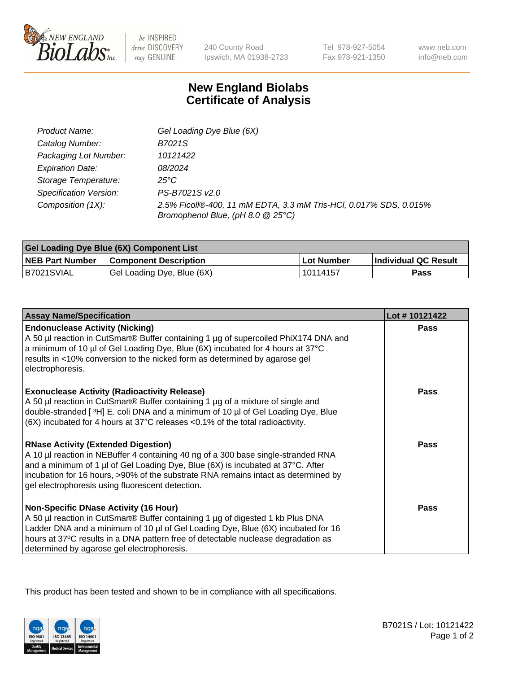

 $be$  INSPIRED drive DISCOVERY stay GENUINE

240 County Road Ipswich, MA 01938-2723 Tel 978-927-5054 Fax 978-921-1350 www.neb.com info@neb.com

## **New England Biolabs Certificate of Analysis**

| Product Name:                 | Gel Loading Dye Blue (6X)                                                                              |
|-------------------------------|--------------------------------------------------------------------------------------------------------|
| Catalog Number:               | B7021S                                                                                                 |
| Packaging Lot Number:         | 10121422                                                                                               |
| <b>Expiration Date:</b>       | 08/2024                                                                                                |
| Storage Temperature:          | $25^{\circ}$ C                                                                                         |
| <b>Specification Version:</b> | PS-B7021S v2.0                                                                                         |
| Composition (1X):             | 2.5% Ficoll®-400, 11 mM EDTA, 3.3 mM Tris-HCl, 0.017% SDS, 0.015%<br>Bromophenol Blue, (pH 8.0 @ 25°C) |

| <b>Gel Loading Dye Blue (6X) Component List</b> |                              |                   |                      |  |
|-------------------------------------------------|------------------------------|-------------------|----------------------|--|
| <b>NEB Part Number</b>                          | <b>Component Description</b> | <b>Lot Number</b> | Individual QC Result |  |
| B7021SVIAL                                      | Gel Loading Dye, Blue (6X)   | 10114157          | Pass                 |  |

| <b>Assay Name/Specification</b>                                                                                                                                                                                                                                                                                                                              | Lot #10121422 |
|--------------------------------------------------------------------------------------------------------------------------------------------------------------------------------------------------------------------------------------------------------------------------------------------------------------------------------------------------------------|---------------|
| <b>Endonuclease Activity (Nicking)</b><br>A 50 µl reaction in CutSmart® Buffer containing 1 µg of supercoiled PhiX174 DNA and<br>a minimum of 10 µl of Gel Loading Dye, Blue (6X) incubated for 4 hours at 37°C<br>results in <10% conversion to the nicked form as determined by agarose gel<br>electrophoresis.                                            | Pass          |
| <b>Exonuclease Activity (Radioactivity Release)</b><br>A 50 µl reaction in CutSmart® Buffer containing 1 µg of a mixture of single and<br>double-stranded [3H] E. coli DNA and a minimum of 10 µl of Gel Loading Dye, Blue<br>(6X) incubated for 4 hours at 37°C releases <0.1% of the total radioactivity.                                                  | <b>Pass</b>   |
| <b>RNase Activity (Extended Digestion)</b><br>A 10 µl reaction in NEBuffer 4 containing 40 ng of a 300 base single-stranded RNA<br>and a minimum of 1 µl of Gel Loading Dye, Blue (6X) is incubated at 37°C. After<br>incubation for 16 hours, >90% of the substrate RNA remains intact as determined by<br>gel electrophoresis using fluorescent detection. | Pass          |
| <b>Non-Specific DNase Activity (16 Hour)</b><br>A 50 µl reaction in CutSmart® Buffer containing 1 µg of digested 1 kb Plus DNA<br>Ladder DNA and a minimum of 10 µl of Gel Loading Dye, Blue (6X) incubated for 16<br>hours at 37°C results in a DNA pattern free of detectable nuclease degradation as<br>determined by agarose gel electrophoresis.        | <b>Pass</b>   |

This product has been tested and shown to be in compliance with all specifications.